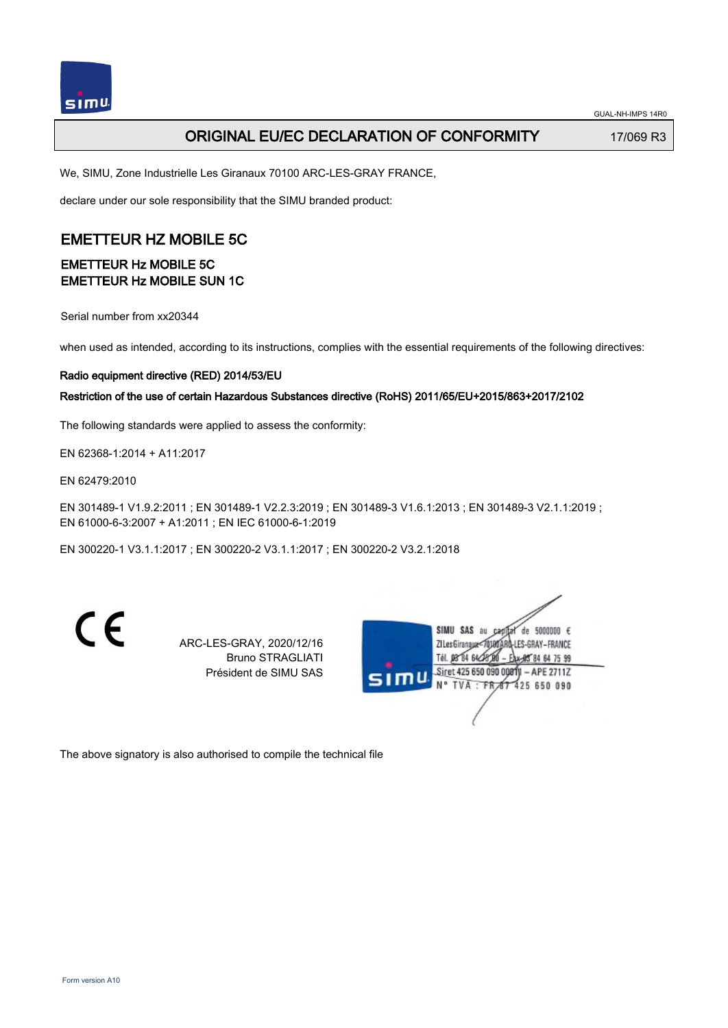# ORIGINAL EU/EC DECLARATION OF CONFORMITY 17/069 R3

We, SIMU, Zone Industrielle Les Giranaux 70100 ARC-LES-GRAY FRANCE,

declare under our sole responsibility that the SIMU branded product:

# EMETTEUR HZ MOBILE 5C

### EMETTEUR Hz MOBILE 5C EMETTEUR Hz MOBILE SUN 1C

Serial number from xx20344

when used as intended, according to its instructions, complies with the essential requirements of the following directives:

#### Radio equipment directive (RED) 2014/53/EU

#### Restriction of the use of certain Hazardous Substances directive (RoHS) 2011/65/EU+2015/863+2017/2102

The following standards were applied to assess the conformity:

EN 62368‑1:2014 + A11:2017

EN 62479:2010

EN 301489‑1 V1.9.2:2011 ; EN 301489‑1 V2.2.3:2019 ; EN 301489‑3 V1.6.1:2013 ; EN 301489‑3 V2.1.1:2019 ; EN 61000‑6‑3:2007 + A1:2011 ; EN IEC 61000‑6‑1:2019

EN 300220‑1 V3.1.1:2017 ; EN 300220‑2 V3.1.1:2017 ; EN 300220‑2 V3.2.1:2018

 $\epsilon$ 

ARC-LES-GRAY, 2020/12/16 Bruno STRAGLIATI Président de SIMU SAS

SIMU SAS  $de$  5000000  $f$ **ZILesGiranau FS-GRAY-FRANCE** Tél. 08 84 64 24 64 75 99 Siret 425 650 090 0081 APE 2711Z **N°TVA** 425 650 090

The above signatory is also authorised to compile the technical file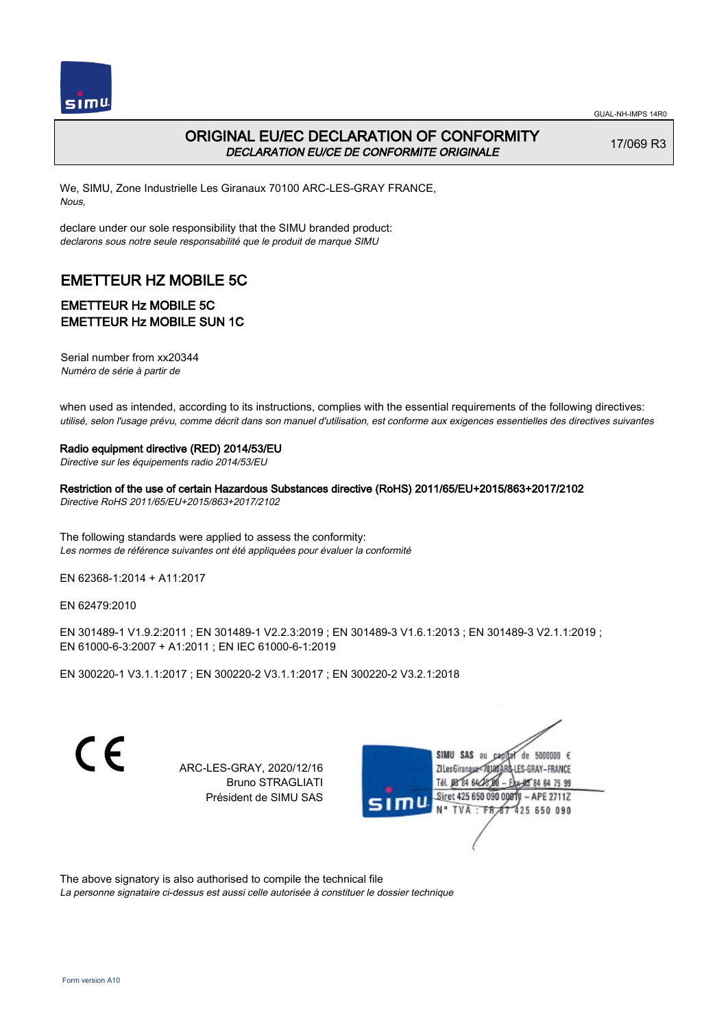

# ORIGINAL EU/EC DECLARATION OF CONFORMITY DECLARATION EU/CE DE CONFORMITE ORIGINALE

17/069 R3

We, SIMU, Zone Industrielle Les Giranaux 70100 ARC-LES-GRAY FRANCE, Nous,

declare under our sole responsibility that the SIMU branded product: declarons sous notre seule responsabilité que le produit de marque SIMU

# EMETTEUR HZ MOBILE 5C

### EMETTEUR Hz MOBILE 5C EMETTEUR Hz MOBILE SUN 1C

Serial number from xx20344 Numéro de série à partir de

when used as intended, according to its instructions, complies with the essential requirements of the following directives: utilisé, selon l'usage prévu, comme décrit dans son manuel d'utilisation, est conforme aux exigences essentielles des directives suivantes

#### Radio equipment directive (RED) 2014/53/EU

Directive sur les équipements radio 2014/53/EU

Restriction of the use of certain Hazardous Substances directive (RoHS) 2011/65/EU+2015/863+2017/2102 Directive RoHS 2011/65/EU+2015/863+2017/2102

The following standards were applied to assess the conformity: Les normes de référence suivantes ont été appliquées pour évaluer la conformité

EN 62368‑1:2014 + A11:2017

EN 62479:2010

EN 301489‑1 V1.9.2:2011 ; EN 301489‑1 V2.2.3:2019 ; EN 301489‑3 V1.6.1:2013 ; EN 301489‑3 V2.1.1:2019 ; EN 61000‑6‑3:2007 + A1:2011 ; EN IEC 61000‑6‑1:2019

EN 300220‑1 V3.1.1:2017 ; EN 300220‑2 V3.1.1:2017 ; EN 300220‑2 V3.2.1:2018

 $\epsilon$ 

ARC-LES-GRAY, 2020/12/16 Bruno STRAGLIATI Président de SIMU SAS



The above signatory is also authorised to compile the technical file

La personne signataire ci-dessus est aussi celle autorisée à constituer le dossier technique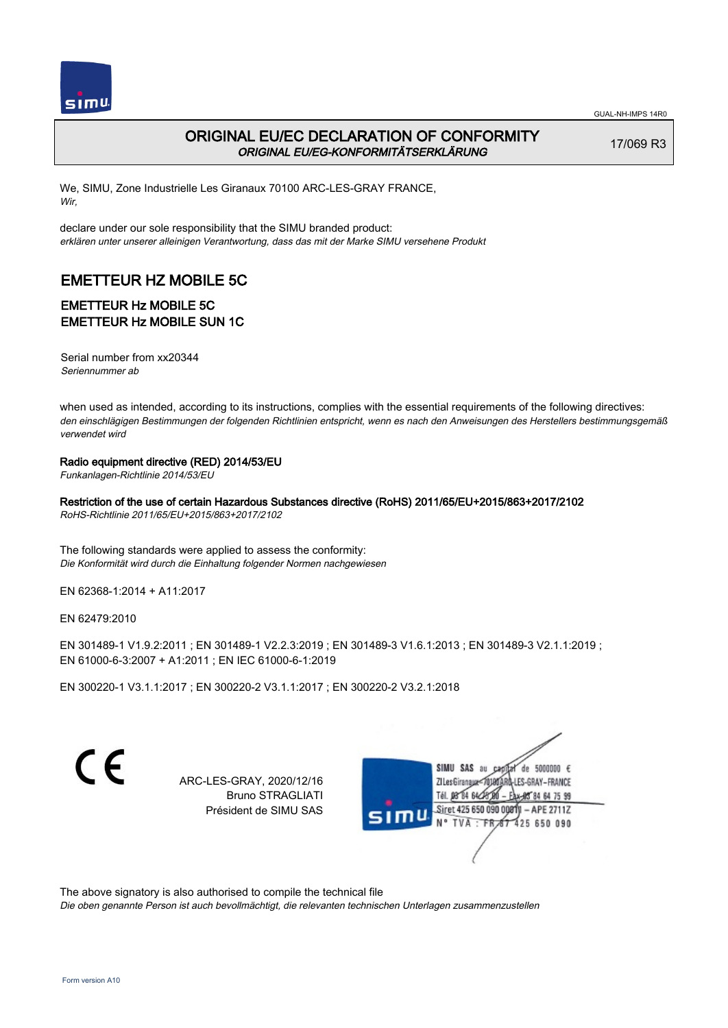

# ORIGINAL EU/EC DECLARATION OF CONFORMITY ORIGINAL EU/EG-KONFORMITÄTSERKLÄRUNG

17/069 R3

We, SIMU, Zone Industrielle Les Giranaux 70100 ARC-LES-GRAY FRANCE, Wir,

declare under our sole responsibility that the SIMU branded product: erklären unter unserer alleinigen Verantwortung, dass das mit der Marke SIMU versehene Produkt

# EMETTEUR HZ MOBILE 5C

### EMETTEUR Hz MOBILE 5C EMETTEUR Hz MOBILE SUN 1C

Serial number from xx20344 Seriennummer ab

when used as intended, according to its instructions, complies with the essential requirements of the following directives: den einschlägigen Bestimmungen der folgenden Richtlinien entspricht, wenn es nach den Anweisungen des Herstellers bestimmungsgemäß verwendet wird

#### Radio equipment directive (RED) 2014/53/EU

Funkanlagen-Richtlinie 2014/53/EU

Restriction of the use of certain Hazardous Substances directive (RoHS) 2011/65/EU+2015/863+2017/2102

RoHS-Richtlinie 2011/65/EU+2015/863+2017/2102

The following standards were applied to assess the conformity: Die Konformität wird durch die Einhaltung folgender Normen nachgewiesen

EN 62368‑1:2014 + A11:2017

EN 62479:2010

EN 301489‑1 V1.9.2:2011 ; EN 301489‑1 V2.2.3:2019 ; EN 301489‑3 V1.6.1:2013 ; EN 301489‑3 V2.1.1:2019 ; EN 61000‑6‑3:2007 + A1:2011 ; EN IEC 61000‑6‑1:2019

EN 300220‑1 V3.1.1:2017 ; EN 300220‑2 V3.1.1:2017 ; EN 300220‑2 V3.2.1:2018

 $\epsilon$ 

ARC-LES-GRAY, 2020/12/16 Bruno STRAGLIATI Président de SIMU SAS

SIMII SAS au de 5000000  $\epsilon$ LES-GRAY-FRANCE ZI Les Giranaux</r0) Tél. 08 84 64 24 64 75 99 Siret 425 650 090 0081  $-$  APE 2711Z **TVA FR** 425 650 090

The above signatory is also authorised to compile the technical file

Die oben genannte Person ist auch bevollmächtigt, die relevanten technischen Unterlagen zusammenzustellen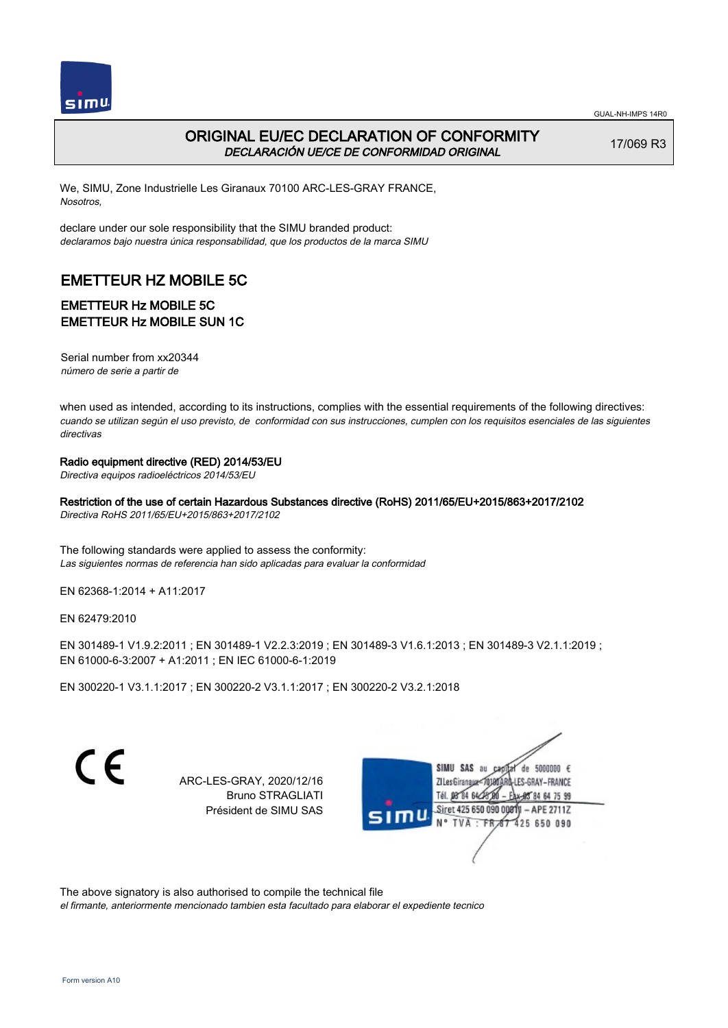

# ORIGINAL EU/EC DECLARATION OF CONFORMITY DECLARACIÓN UE/CE DE CONFORMIDAD ORIGINAL

17/069 R3

We, SIMU, Zone Industrielle Les Giranaux 70100 ARC-LES-GRAY FRANCE, Nosotros,

declare under our sole responsibility that the SIMU branded product: declaramos bajo nuestra única responsabilidad, que los productos de la marca SIMU

# EMETTEUR HZ MOBILE 5C

### EMETTEUR Hz MOBILE 5C EMETTEUR Hz MOBILE SUN 1C

Serial number from xx20344 número de serie a partir de

when used as intended, according to its instructions, complies with the essential requirements of the following directives: cuando se utilizan según el uso previsto, de conformidad con sus instrucciones, cumplen con los requisitos esenciales de las siguientes directivas

#### Radio equipment directive (RED) 2014/53/EU

Directiva equipos radioeléctricos 2014/53/EU

Restriction of the use of certain Hazardous Substances directive (RoHS) 2011/65/EU+2015/863+2017/2102

Directiva RoHS 2011/65/EU+2015/863+2017/2102

The following standards were applied to assess the conformity: Las siguientes normas de referencia han sido aplicadas para evaluar la conformidad

EN 62368‑1:2014 + A11:2017

EN 62479:2010

EN 301489‑1 V1.9.2:2011 ; EN 301489‑1 V2.2.3:2019 ; EN 301489‑3 V1.6.1:2013 ; EN 301489‑3 V2.1.1:2019 ; EN 61000‑6‑3:2007 + A1:2011 ; EN IEC 61000‑6‑1:2019

EN 300220‑1 V3.1.1:2017 ; EN 300220‑2 V3.1.1:2017 ; EN 300220‑2 V3.2.1:2018

C E

ARC-LES-GRAY, 2020/12/16 Bruno STRAGLIATI Président de SIMU SAS

SIMU SAS au de 5000000  $\epsilon$ ZI Les Giranaux</r01 LES-GRAY-FRANCE Tél. 08 84 64 24 64 75 99 Siret 425 650 090 0081  $-$  APE 2711Z TVA FR 425 650 090

The above signatory is also authorised to compile the technical file el firmante, anteriormente mencionado tambien esta facultado para elaborar el expediente tecnico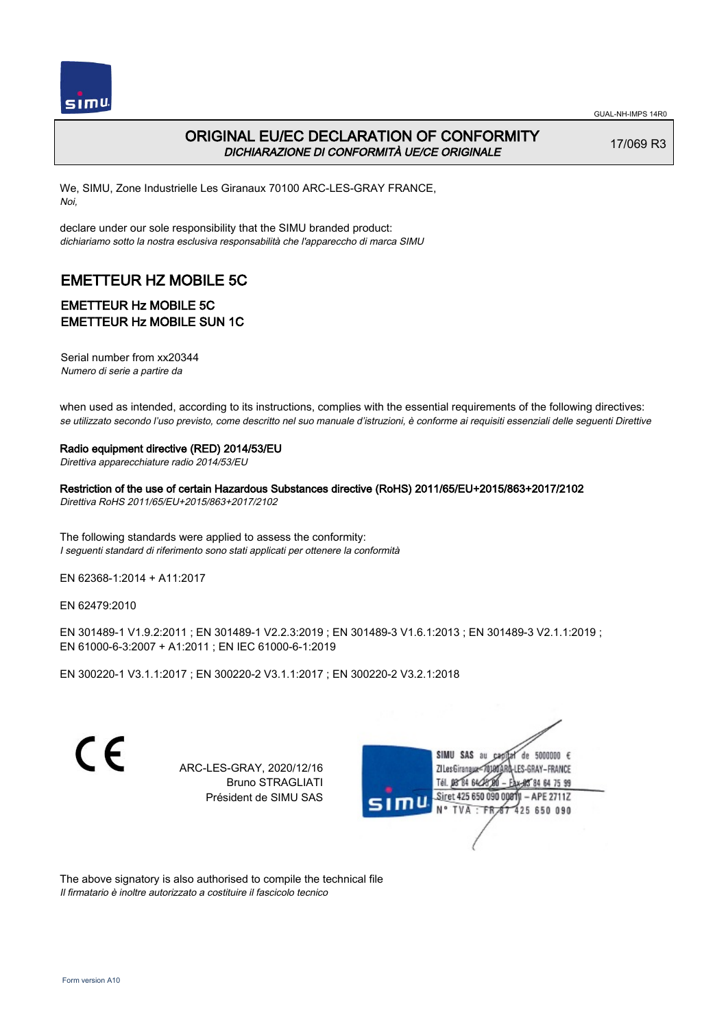

# ORIGINAL EU/EC DECLARATION OF CONFORMITY DICHIARAZIONE DI CONFORMITÀ UE/CE ORIGINALE

17/069 R3

We, SIMU, Zone Industrielle Les Giranaux 70100 ARC-LES-GRAY FRANCE, Noi,

declare under our sole responsibility that the SIMU branded product: dichiariamo sotto la nostra esclusiva responsabilità che l'appareccho di marca SIMU

# EMETTEUR HZ MOBILE 5C

### EMETTEUR Hz MOBILE 5C EMETTEUR Hz MOBILE SUN 1C

Serial number from xx20344 Numero di serie a partire da

when used as intended, according to its instructions, complies with the essential requirements of the following directives: se utilizzato secondo l'uso previsto, come descritto nel suo manuale d'istruzioni, è conforme ai requisiti essenziali delle seguenti Direttive

#### Radio equipment directive (RED) 2014/53/EU

Direttiva apparecchiature radio 2014/53/EU

Restriction of the use of certain Hazardous Substances directive (RoHS) 2011/65/EU+2015/863+2017/2102 Direttiva RoHS 2011/65/EU+2015/863+2017/2102

The following standards were applied to assess the conformity: I seguenti standard di riferimento sono stati applicati per ottenere la conformità

EN 62368‑1:2014 + A11:2017

EN 62479:2010

EN 301489‑1 V1.9.2:2011 ; EN 301489‑1 V2.2.3:2019 ; EN 301489‑3 V1.6.1:2013 ; EN 301489‑3 V2.1.1:2019 ; EN 61000‑6‑3:2007 + A1:2011 ; EN IEC 61000‑6‑1:2019

EN 300220‑1 V3.1.1:2017 ; EN 300220‑2 V3.1.1:2017 ; EN 300220‑2 V3.2.1:2018

 $\epsilon$ 

ARC-LES-GRAY, 2020/12/16 Bruno STRAGLIATI Président de SIMU SAS



The above signatory is also authorised to compile the technical file Il firmatario è inoltre autorizzato a costituire il fascicolo tecnico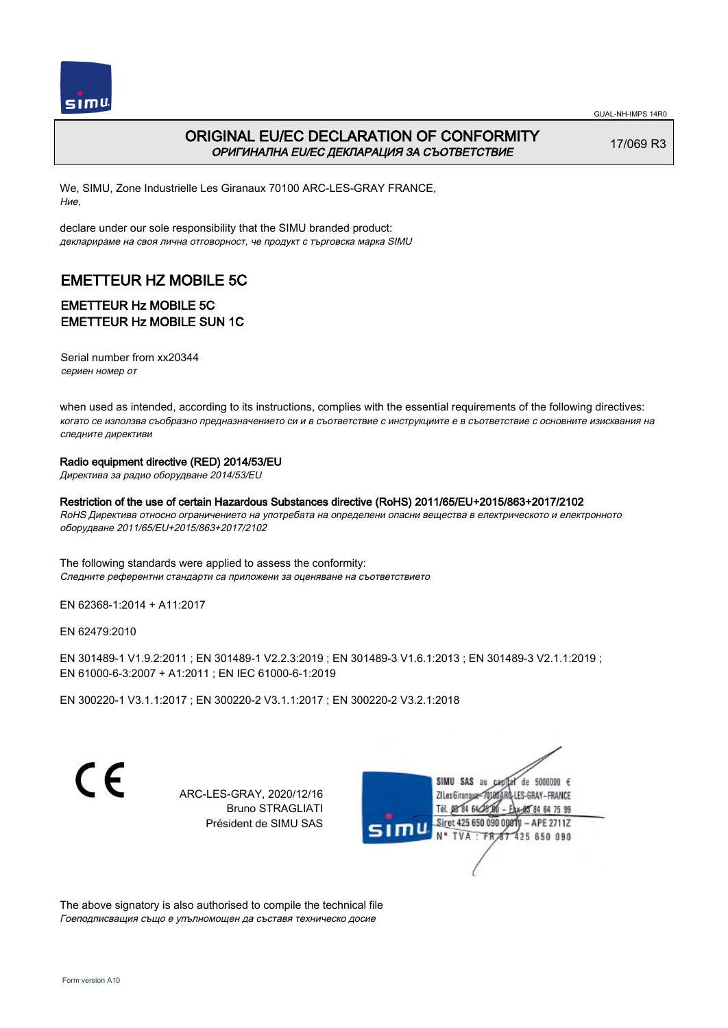

# ORIGINAL EU/EC DECLARATION OF CONFORMITY ОРИГИНАЛНА EU/EC ДЕКЛАРАЦИЯ ЗА СЪОТВЕТСТВИЕ

17/069 R3

We, SIMU, Zone Industrielle Les Giranaux 70100 ARC-LES-GRAY FRANCE, Ние,

declare under our sole responsibility that the SIMU branded product: декларираме на своя лична отговорност, че продукт с търговска марка SIMU

# EMETTEUR HZ MOBILE 5C

# EMETTEUR Hz MOBILE 5C EMETTEUR Hz MOBILE SUN 1C

Serial number from xx20344 сериен номер от

when used as intended, according to its instructions, complies with the essential requirements of the following directives: когато се използва съобразно предназначението си и в съответствие с инструкциите е в съответствие с основните изисквания на следните директиви

#### Radio equipment directive (RED) 2014/53/EU

Директива за радио оборудване 2014/53/EU

#### Restriction of the use of certain Hazardous Substances directive (RoHS) 2011/65/EU+2015/863+2017/2102

RoHS Директива относно ограничението на употребата на определени опасни вещества в електрическото и електронното оборудване 2011/65/EU+2015/863+2017/2102

The following standards were applied to assess the conformity: Следните референтни стандарти са приложени за оценяване на съответствието

EN 62368‑1:2014 + A11:2017

EN 62479:2010

EN 301489‑1 V1.9.2:2011 ; EN 301489‑1 V2.2.3:2019 ; EN 301489‑3 V1.6.1:2013 ; EN 301489‑3 V2.1.1:2019 ; EN 61000‑6‑3:2007 + A1:2011 ; EN IEC 61000‑6‑1:2019

EN 300220‑1 V3.1.1:2017 ; EN 300220‑2 V3.1.1:2017 ; EN 300220‑2 V3.2.1:2018

CE

ARC-LES-GRAY, 2020/12/16 Bruno STRAGLIATI Président de SIMU SAS



The above signatory is also authorised to compile the technical file Гоеподписващия също е упълномощен да съставя техническо досие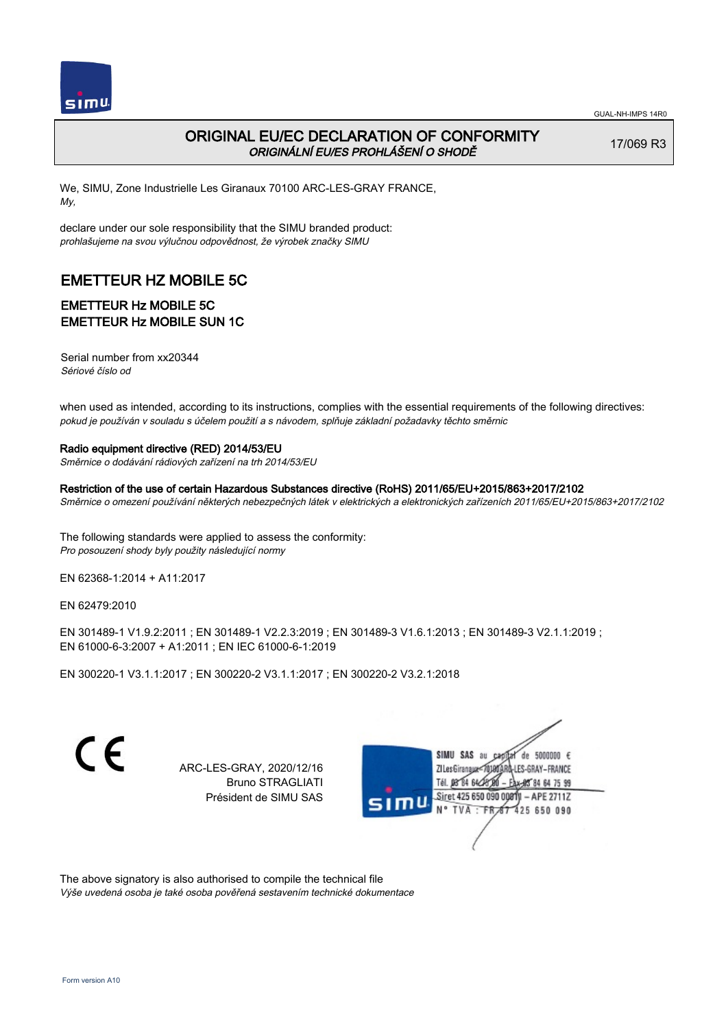

17/069 R3

# ORIGINAL EU/EC DECLARATION OF CONFORMITY ORIGINÁLNÍ EU/ES PROHLÁŠENÍ O SHODĚ

We, SIMU, Zone Industrielle Les Giranaux 70100 ARC-LES-GRAY FRANCE, My,

declare under our sole responsibility that the SIMU branded product: prohlašujeme na svou výlučnou odpovědnost, že výrobek značky SIMU

# EMETTEUR HZ MOBILE 5C

### EMETTEUR Hz MOBILE 5C EMETTEUR Hz MOBILE SUN 1C

Serial number from xx20344 Sériové číslo od

when used as intended, according to its instructions, complies with the essential requirements of the following directives: pokud je používán v souladu s účelem použití a s návodem, splňuje základní požadavky těchto směrnic

#### Radio equipment directive (RED) 2014/53/EU

Směrnice o dodávání rádiových zařízení na trh 2014/53/EU

Restriction of the use of certain Hazardous Substances directive (RoHS) 2011/65/EU+2015/863+2017/2102 Směrnice o omezení používání některých nebezpečných látek v elektrických a elektronických zařízeních 2011/65/EU+2015/863+2017/2102

The following standards were applied to assess the conformity: Pro posouzení shody byly použity následující normy

EN 62368‑1:2014 + A11:2017

EN 62479:2010

EN 301489‑1 V1.9.2:2011 ; EN 301489‑1 V2.2.3:2019 ; EN 301489‑3 V1.6.1:2013 ; EN 301489‑3 V2.1.1:2019 ; EN 61000‑6‑3:2007 + A1:2011 ; EN IEC 61000‑6‑1:2019

EN 300220‑1 V3.1.1:2017 ; EN 300220‑2 V3.1.1:2017 ; EN 300220‑2 V3.2.1:2018

 $\epsilon$ 

ARC-LES-GRAY, 2020/12/16 Bruno STRAGLIATI Président de SIMU SAS



The above signatory is also authorised to compile the technical file Výše uvedená osoba je také osoba pověřená sestavením technické dokumentace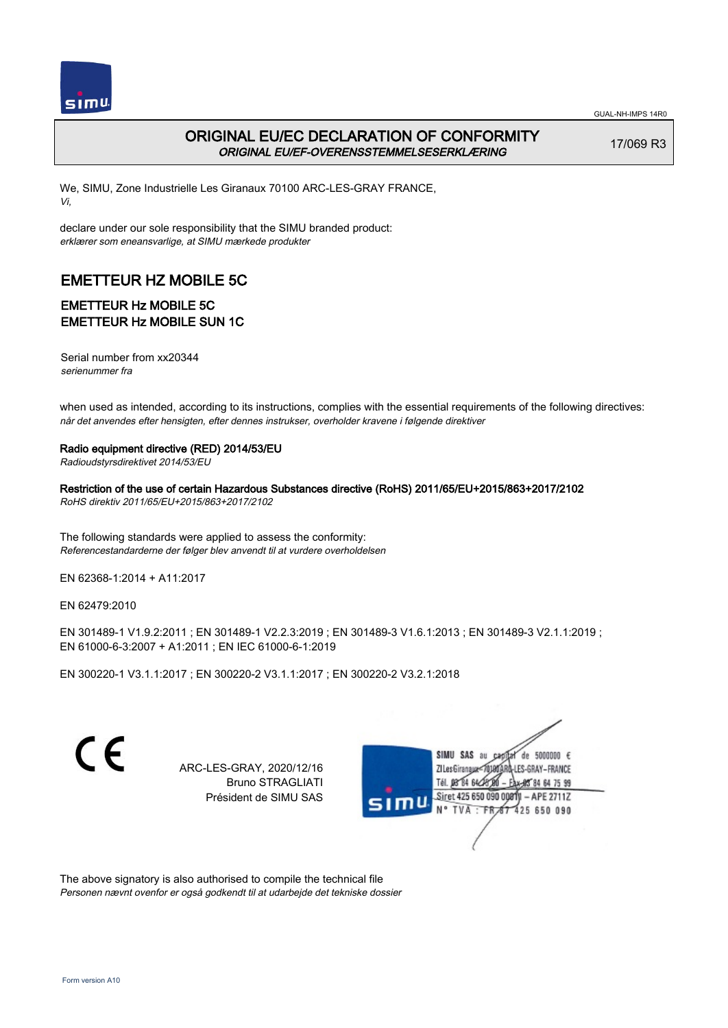

# ORIGINAL EU/EC DECLARATION OF CONFORMITY ORIGINAL EU/EF-OVERENSSTEMMELSESERKLÆRING

17/069 R3

We, SIMU, Zone Industrielle Les Giranaux 70100 ARC-LES-GRAY FRANCE, Vi,

declare under our sole responsibility that the SIMU branded product: erklærer som eneansvarlige, at SIMU mærkede produkter

# EMETTEUR HZ MOBILE 5C

### EMETTEUR Hz MOBILE 5C EMETTEUR Hz MOBILE SUN 1C

Serial number from xx20344 serienummer fra

when used as intended, according to its instructions, complies with the essential requirements of the following directives: når det anvendes efter hensigten, efter dennes instrukser, overholder kravene i følgende direktiver

Radio equipment directive (RED) 2014/53/EU

Radioudstyrsdirektivet 2014/53/EU

Restriction of the use of certain Hazardous Substances directive (RoHS) 2011/65/EU+2015/863+2017/2102 RoHS direktiv 2011/65/EU+2015/863+2017/2102

The following standards were applied to assess the conformity: Referencestandarderne der følger blev anvendt til at vurdere overholdelsen

EN 62368‑1:2014 + A11:2017

EN 62479:2010

EN 301489‑1 V1.9.2:2011 ; EN 301489‑1 V2.2.3:2019 ; EN 301489‑3 V1.6.1:2013 ; EN 301489‑3 V2.1.1:2019 ; EN 61000‑6‑3:2007 + A1:2011 ; EN IEC 61000‑6‑1:2019

EN 300220‑1 V3.1.1:2017 ; EN 300220‑2 V3.1.1:2017 ; EN 300220‑2 V3.2.1:2018

 $\epsilon$ 

ARC-LES-GRAY, 2020/12/16 Bruno STRAGLIATI Président de SIMU SAS



The above signatory is also authorised to compile the technical file Personen nævnt ovenfor er også godkendt til at udarbejde det tekniske dossier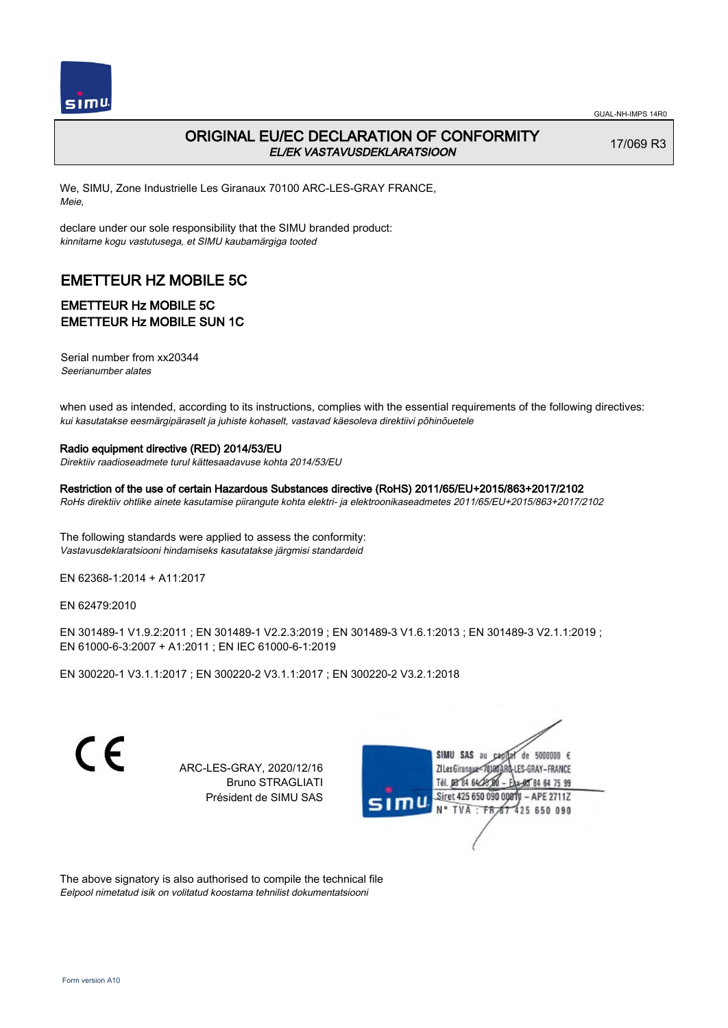

# ORIGINAL EU/EC DECLARATION OF CONFORMITY EL/EK VASTAVUSDEKLARATSIOON

17/069 R3

We, SIMU, Zone Industrielle Les Giranaux 70100 ARC-LES-GRAY FRANCE, Meie,

declare under our sole responsibility that the SIMU branded product: kinnitame kogu vastutusega, et SIMU kaubamärgiga tooted

# EMETTEUR HZ MOBILE 5C

# EMETTEUR Hz MOBILE 5C EMETTEUR Hz MOBILE SUN 1C

Serial number from xx20344 Seerianumber alates

when used as intended, according to its instructions, complies with the essential requirements of the following directives: kui kasutatakse eesmärgipäraselt ja juhiste kohaselt, vastavad käesoleva direktiivi põhinõuetele

#### Radio equipment directive (RED) 2014/53/EU

Direktiiv raadioseadmete turul kättesaadavuse kohta 2014/53/EU

Restriction of the use of certain Hazardous Substances directive (RoHS) 2011/65/EU+2015/863+2017/2102 RoHs direktiiv ohtlike ainete kasutamise piirangute kohta elektri- ja elektroonikaseadmetes 2011/65/EU+2015/863+2017/2102

The following standards were applied to assess the conformity: Vastavusdeklaratsiooni hindamiseks kasutatakse järgmisi standardeid

EN 62368‑1:2014 + A11:2017

EN 62479:2010

EN 301489‑1 V1.9.2:2011 ; EN 301489‑1 V2.2.3:2019 ; EN 301489‑3 V1.6.1:2013 ; EN 301489‑3 V2.1.1:2019 ; EN 61000‑6‑3:2007 + A1:2011 ; EN IEC 61000‑6‑1:2019

EN 300220‑1 V3.1.1:2017 ; EN 300220‑2 V3.1.1:2017 ; EN 300220‑2 V3.2.1:2018

 $\epsilon$ 

ARC-LES-GRAY, 2020/12/16 Bruno STRAGLIATI Président de SIMU SAS



The above signatory is also authorised to compile the technical file Eelpool nimetatud isik on volitatud koostama tehnilist dokumentatsiooni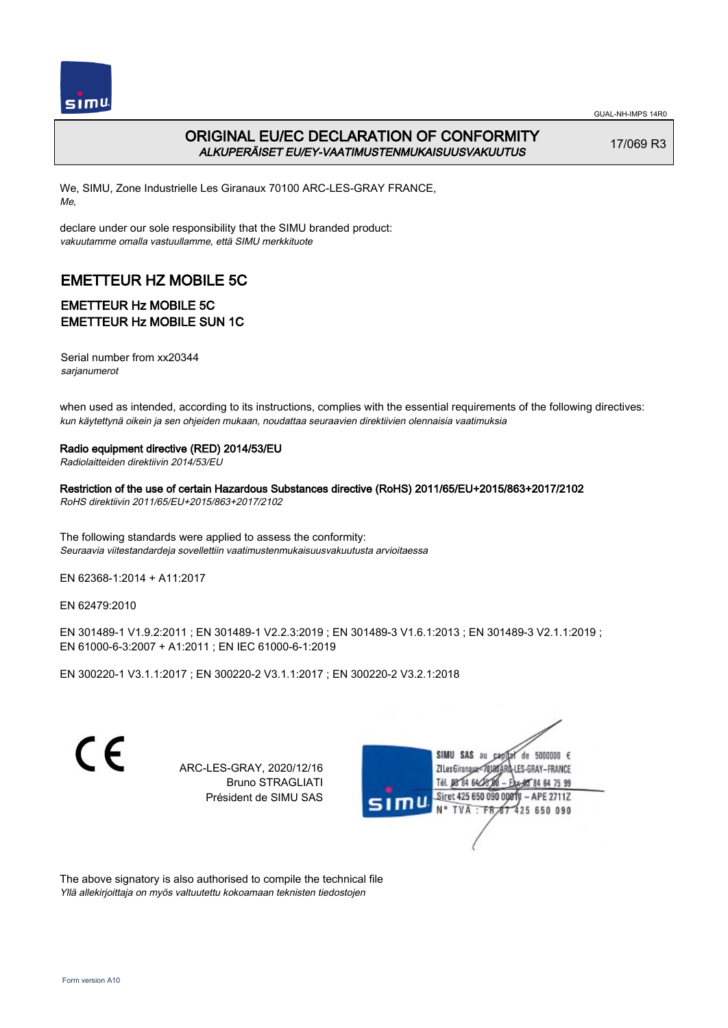

# ORIGINAL EU/EC DECLARATION OF CONFORMITY ALKUPERÄISET EU/EY-VAATIMUSTENMUKAISUUSVAKUUTUS

17/069 R3

We, SIMU, Zone Industrielle Les Giranaux 70100 ARC-LES-GRAY FRANCE, Me,

declare under our sole responsibility that the SIMU branded product: vakuutamme omalla vastuullamme, että SIMU merkkituote

# EMETTEUR HZ MOBILE 5C

### EMETTEUR Hz MOBILE 5C EMETTEUR Hz MOBILE SUN 1C

Serial number from xx20344 sarjanumerot

when used as intended, according to its instructions, complies with the essential requirements of the following directives: kun käytettynä oikein ja sen ohjeiden mukaan, noudattaa seuraavien direktiivien olennaisia vaatimuksia

#### Radio equipment directive (RED) 2014/53/EU

Radiolaitteiden direktiivin 2014/53/EU

Restriction of the use of certain Hazardous Substances directive (RoHS) 2011/65/EU+2015/863+2017/2102 RoHS direktiivin 2011/65/EU+2015/863+2017/2102

The following standards were applied to assess the conformity: Seuraavia viitestandardeja sovellettiin vaatimustenmukaisuusvakuutusta arvioitaessa

EN 62368‑1:2014 + A11:2017

EN 62479:2010

EN 301489‑1 V1.9.2:2011 ; EN 301489‑1 V2.2.3:2019 ; EN 301489‑3 V1.6.1:2013 ; EN 301489‑3 V2.1.1:2019 ; EN 61000‑6‑3:2007 + A1:2011 ; EN IEC 61000‑6‑1:2019

EN 300220‑1 V3.1.1:2017 ; EN 300220‑2 V3.1.1:2017 ; EN 300220‑2 V3.2.1:2018

 $\epsilon$ 

ARC-LES-GRAY, 2020/12/16 Bruno STRAGLIATI Président de SIMU SAS



The above signatory is also authorised to compile the technical file Yllä allekirjoittaja on myös valtuutettu kokoamaan teknisten tiedostojen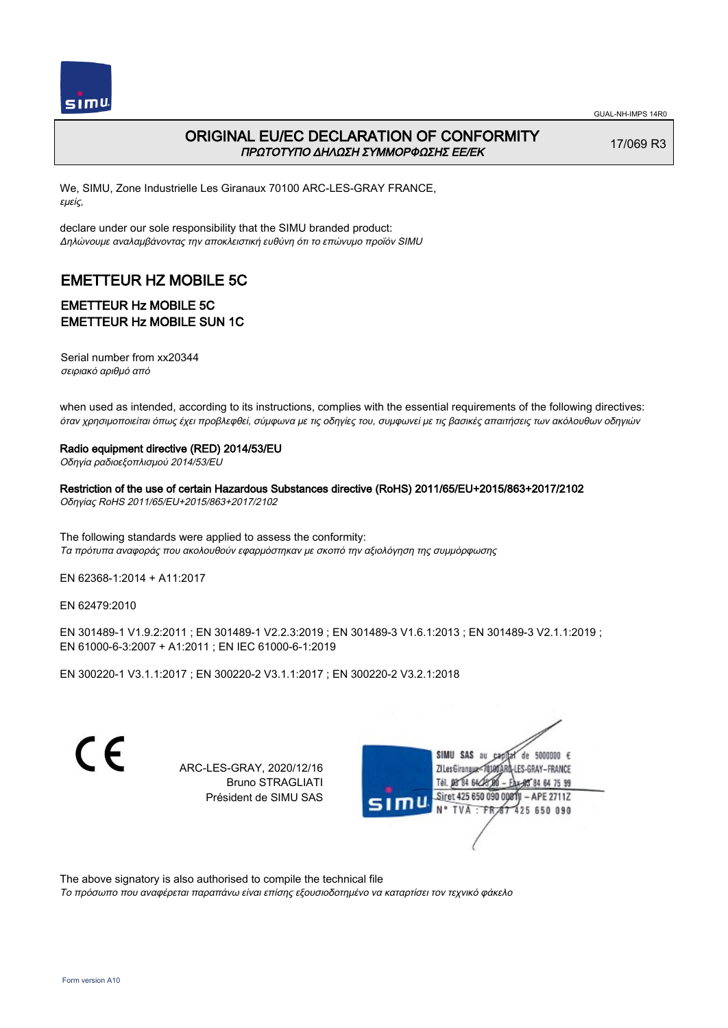

### ORIGINAL EU/EC DECLARATION OF CONFORMITY ΠΡΩΤΟΤΥΠΟ ΔΗΛΩΣΗ ΣΥΜΜΟΡΦΩΣΗΣ ΕΕ/EK

17/069 R3

We, SIMU, Zone Industrielle Les Giranaux 70100 ARC-LES-GRAY FRANCE, εμείς,

declare under our sole responsibility that the SIMU branded product: Δηλώνουμε αναλαμβάνοντας την αποκλειστική ευθύνη ότι το επώνυμο προϊόν SIMU

# EMETTEUR HZ MOBILE 5C

### EMETTEUR Hz MOBILE 5C EMETTEUR Hz MOBILE SUN 1C

Serial number from xx20344 σειριακό αριθμό από

when used as intended, according to its instructions, complies with the essential requirements of the following directives: όταν χρησιμοποιείται όπως έχει προβλεφθεί, σύμφωνα με τις οδηγίες του, συμφωνεί με τις βασικές απαιτήσεις των ακόλουθων οδηγιών

Radio equipment directive (RED) 2014/53/EU

Οδηγία ραδιοεξοπλισμού 2014/53/EU

Restriction of the use of certain Hazardous Substances directive (RoHS) 2011/65/EU+2015/863+2017/2102 Οδηγίας RoHS 2011/65/EU+2015/863+2017/2102

The following standards were applied to assess the conformity: Τα πρότυπα αναφοράς που ακολουθούν εφαρμόστηκαν με σκοπό την αξιολόγηση της συμμόρφωσης

EN 62368‑1:2014 + A11:2017

EN 62479:2010

EN 301489‑1 V1.9.2:2011 ; EN 301489‑1 V2.2.3:2019 ; EN 301489‑3 V1.6.1:2013 ; EN 301489‑3 V2.1.1:2019 ; EN 61000‑6‑3:2007 + A1:2011 ; EN IEC 61000‑6‑1:2019

EN 300220‑1 V3.1.1:2017 ; EN 300220‑2 V3.1.1:2017 ; EN 300220‑2 V3.2.1:2018

C E

ARC-LES-GRAY, 2020/12/16 Bruno STRAGLIATI Président de SIMU SAS

SIMU SAS au de 5000000  $\epsilon$ ZI Les Giranaux</DJ80 LES-GRAY-FRANCE Tél. 08 84 64 28 80 -84 64 75 99 Siret 425 650 090 00811  $-$  APE 2711Z TVA: FR 67 425 650 090

The above signatory is also authorised to compile the technical file

Το πρόσωπο που αναφέρεται παραπάνω είναι επίσης εξουσιοδοτημένο να καταρτίσει τον τεχνικό φάκελο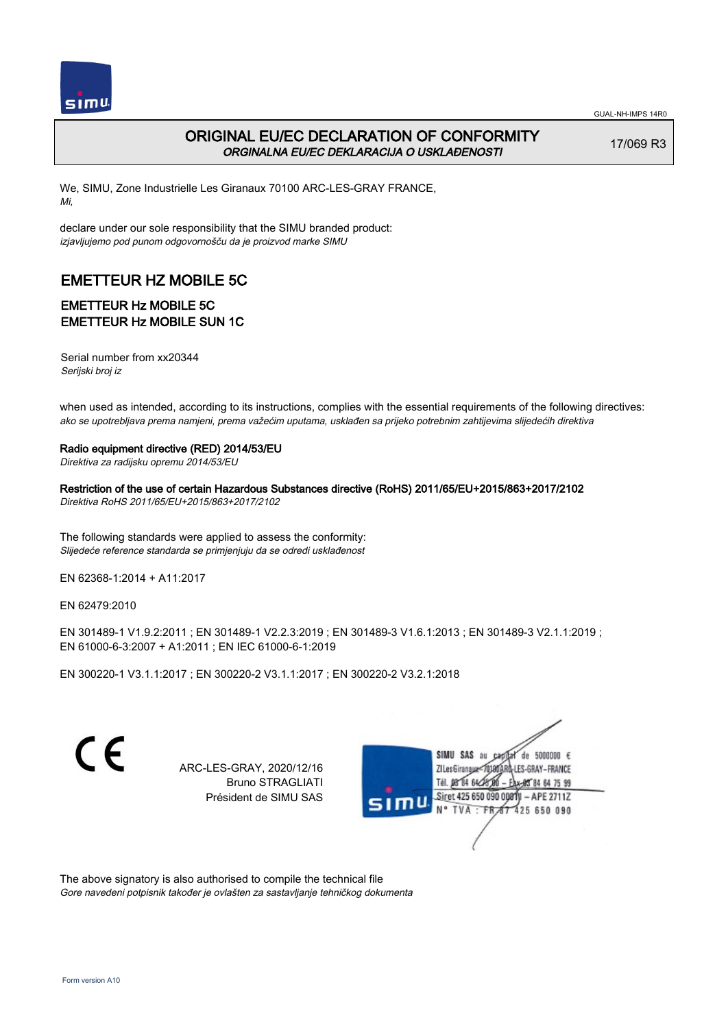

# ORIGINAL EU/EC DECLARATION OF CONFORMITY ORGINALNA EU/EC DEKLARACIJA O USKLAĐENOSTI

17/069 R3

We, SIMU, Zone Industrielle Les Giranaux 70100 ARC-LES-GRAY FRANCE, Mi,

declare under our sole responsibility that the SIMU branded product: izjavljujemo pod punom odgovornošču da je proizvod marke SIMU

# EMETTEUR HZ MOBILE 5C

# EMETTEUR Hz MOBILE 5C EMETTEUR Hz MOBILE SUN 1C

Serial number from xx20344 Serijski broj iz

when used as intended, according to its instructions, complies with the essential requirements of the following directives: ako se upotrebljava prema namjeni, prema važećim uputama, usklađen sa prijeko potrebnim zahtijevima slijedećih direktiva

#### Radio equipment directive (RED) 2014/53/EU

Direktiva za radijsku opremu 2014/53/EU

Restriction of the use of certain Hazardous Substances directive (RoHS) 2011/65/EU+2015/863+2017/2102 Direktiva RoHS 2011/65/EU+2015/863+2017/2102

The following standards were applied to assess the conformity: Slijedeće reference standarda se primjenjuju da se odredi usklađenost

EN 62368‑1:2014 + A11:2017

EN 62479:2010

EN 301489‑1 V1.9.2:2011 ; EN 301489‑1 V2.2.3:2019 ; EN 301489‑3 V1.6.1:2013 ; EN 301489‑3 V2.1.1:2019 ; EN 61000‑6‑3:2007 + A1:2011 ; EN IEC 61000‑6‑1:2019

EN 300220‑1 V3.1.1:2017 ; EN 300220‑2 V3.1.1:2017 ; EN 300220‑2 V3.2.1:2018

 $\epsilon$ 

ARC-LES-GRAY, 2020/12/16 Bruno STRAGLIATI Président de SIMU SAS



The above signatory is also authorised to compile the technical file Gore navedeni potpisnik također je ovlašten za sastavljanje tehničkog dokumenta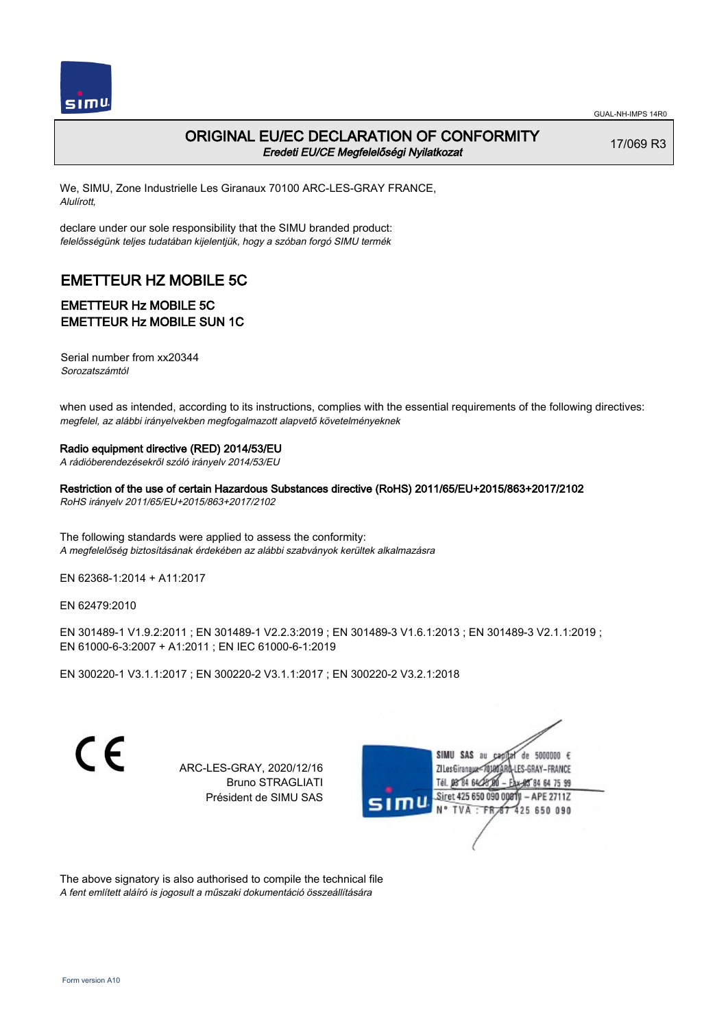

17/069 R3

# ORIGINAL EU/EC DECLARATION OF CONFORMITY Eredeti EU/CE Megfelelőségi Nyilatkozat

We, SIMU, Zone Industrielle Les Giranaux 70100 ARC-LES-GRAY FRANCE, Alulírott,

declare under our sole responsibility that the SIMU branded product: felelősségünk teljes tudatában kijelentjük, hogy a szóban forgó SIMU termék

# EMETTEUR HZ MOBILE 5C

### EMETTEUR Hz MOBILE 5C EMETTEUR Hz MOBILE SUN 1C

Serial number from xx20344 Sorozatszámtól

when used as intended, according to its instructions, complies with the essential requirements of the following directives: megfelel, az alábbi irányelvekben megfogalmazott alapvető követelményeknek

#### Radio equipment directive (RED) 2014/53/EU

A rádióberendezésekről szóló irányelv 2014/53/EU

Restriction of the use of certain Hazardous Substances directive (RoHS) 2011/65/EU+2015/863+2017/2102 RoHS irányelv 2011/65/EU+2015/863+2017/2102

The following standards were applied to assess the conformity: A megfelelőség biztosításának érdekében az alábbi szabványok kerültek alkalmazásra

EN 62368‑1:2014 + A11:2017

EN 62479:2010

EN 301489‑1 V1.9.2:2011 ; EN 301489‑1 V2.2.3:2019 ; EN 301489‑3 V1.6.1:2013 ; EN 301489‑3 V2.1.1:2019 ; EN 61000‑6‑3:2007 + A1:2011 ; EN IEC 61000‑6‑1:2019

EN 300220‑1 V3.1.1:2017 ; EN 300220‑2 V3.1.1:2017 ; EN 300220‑2 V3.2.1:2018

 $\epsilon$ 

ARC-LES-GRAY, 2020/12/16 Bruno STRAGLIATI Président de SIMU SAS



The above signatory is also authorised to compile the technical file A fent említett aláíró is jogosult a műszaki dokumentáció összeállítására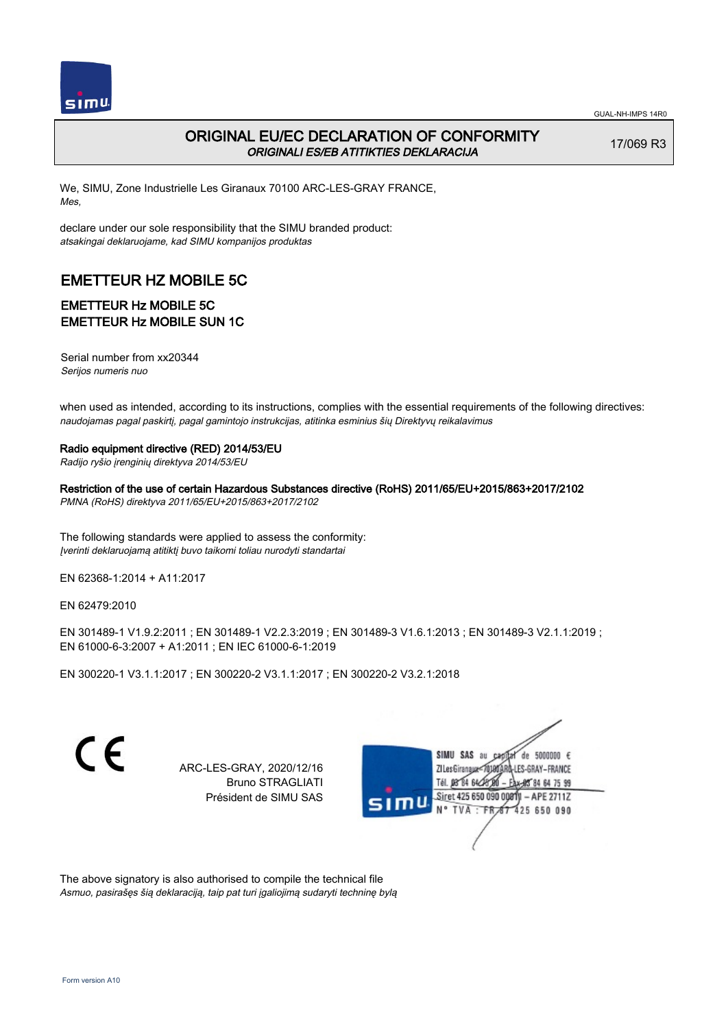

17/069 R3

# ORIGINAL EU/EC DECLARATION OF CONFORMITY ORIGINALI ES/EB ATITIKTIES DEKLARACIJA

We, SIMU, Zone Industrielle Les Giranaux 70100 ARC-LES-GRAY FRANCE, Mes,

declare under our sole responsibility that the SIMU branded product: atsakingai deklaruojame, kad SIMU kompanijos produktas

# EMETTEUR HZ MOBILE 5C

# EMETTEUR Hz MOBILE 5C EMETTEUR Hz MOBILE SUN 1C

Serial number from xx20344 Serijos numeris nuo

when used as intended, according to its instructions, complies with the essential requirements of the following directives: naudojamas pagal paskirtį, pagal gamintojo instrukcijas, atitinka esminius šių Direktyvų reikalavimus

#### Radio equipment directive (RED) 2014/53/EU

Radijo ryšio įrenginių direktyva 2014/53/EU

Restriction of the use of certain Hazardous Substances directive (RoHS) 2011/65/EU+2015/863+2017/2102 PMNA (RoHS) direktyva 2011/65/EU+2015/863+2017/2102

The following standards were applied to assess the conformity: Įverinti deklaruojamą atitiktį buvo taikomi toliau nurodyti standartai

EN 62368‑1:2014 + A11:2017

EN 62479:2010

EN 301489‑1 V1.9.2:2011 ; EN 301489‑1 V2.2.3:2019 ; EN 301489‑3 V1.6.1:2013 ; EN 301489‑3 V2.1.1:2019 ; EN 61000‑6‑3:2007 + A1:2011 ; EN IEC 61000‑6‑1:2019

EN 300220‑1 V3.1.1:2017 ; EN 300220‑2 V3.1.1:2017 ; EN 300220‑2 V3.2.1:2018

 $\epsilon$ 

ARC-LES-GRAY, 2020/12/16 Bruno STRAGLIATI Président de SIMU SAS



The above signatory is also authorised to compile the technical file Asmuo, pasirašęs šią deklaraciją, taip pat turi įgaliojimą sudaryti techninę bylą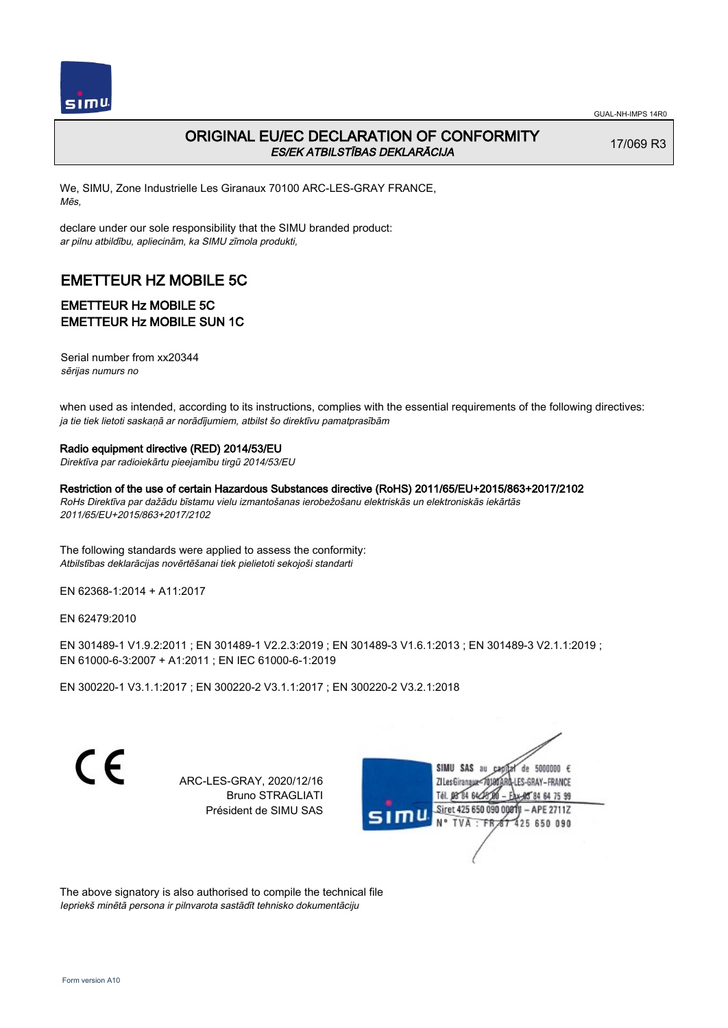

# ORIGINAL EU/EC DECLARATION OF CONFORMITY ES/EK ATBILSTĪBAS DEKLARĀCIJA

17/069 R3

We, SIMU, Zone Industrielle Les Giranaux 70100 ARC-LES-GRAY FRANCE, Mēs,

declare under our sole responsibility that the SIMU branded product: ar pilnu atbildību, apliecinām, ka SIMU zīmola produkti,

# EMETTEUR HZ MOBILE 5C

# EMETTEUR Hz MOBILE 5C EMETTEUR Hz MOBILE SUN 1C

Serial number from xx20344 sērijas numurs no

when used as intended, according to its instructions, complies with the essential requirements of the following directives: ja tie tiek lietoti saskaņā ar norādījumiem, atbilst šo direktīvu pamatprasībām

#### Radio equipment directive (RED) 2014/53/EU

Direktīva par radioiekārtu pieejamību tirgū 2014/53/EU

Restriction of the use of certain Hazardous Substances directive (RoHS) 2011/65/EU+2015/863+2017/2102 RoHs Direktīva par dažādu bīstamu vielu izmantošanas ierobežošanu elektriskās un elektroniskās iekārtās 2011/65/EU+2015/863+2017/2102

The following standards were applied to assess the conformity: Atbilstības deklarācijas novērtēšanai tiek pielietoti sekojoši standarti

EN 62368‑1:2014 + A11:2017

EN 62479:2010

EN 301489‑1 V1.9.2:2011 ; EN 301489‑1 V2.2.3:2019 ; EN 301489‑3 V1.6.1:2013 ; EN 301489‑3 V2.1.1:2019 ; EN 61000‑6‑3:2007 + A1:2011 ; EN IEC 61000‑6‑1:2019

EN 300220‑1 V3.1.1:2017 ; EN 300220‑2 V3.1.1:2017 ; EN 300220‑2 V3.2.1:2018

 $\epsilon$ 

ARC-LES-GRAY, 2020/12/16 Bruno STRAGLIATI Président de SIMU SAS

SIMU SAS au  $cardist$  de 5000000  $\epsilon$ ZI Les Giranaux-70180 LES-GRAY-FRANCE DB 84 64 CH 64 75 99 Siret 425 650 090 0081  $-$  APE 2711Z N° TVA : FRAT 425 650 090

The above signatory is also authorised to compile the technical file Iepriekš minētā persona ir pilnvarota sastādīt tehnisko dokumentāciju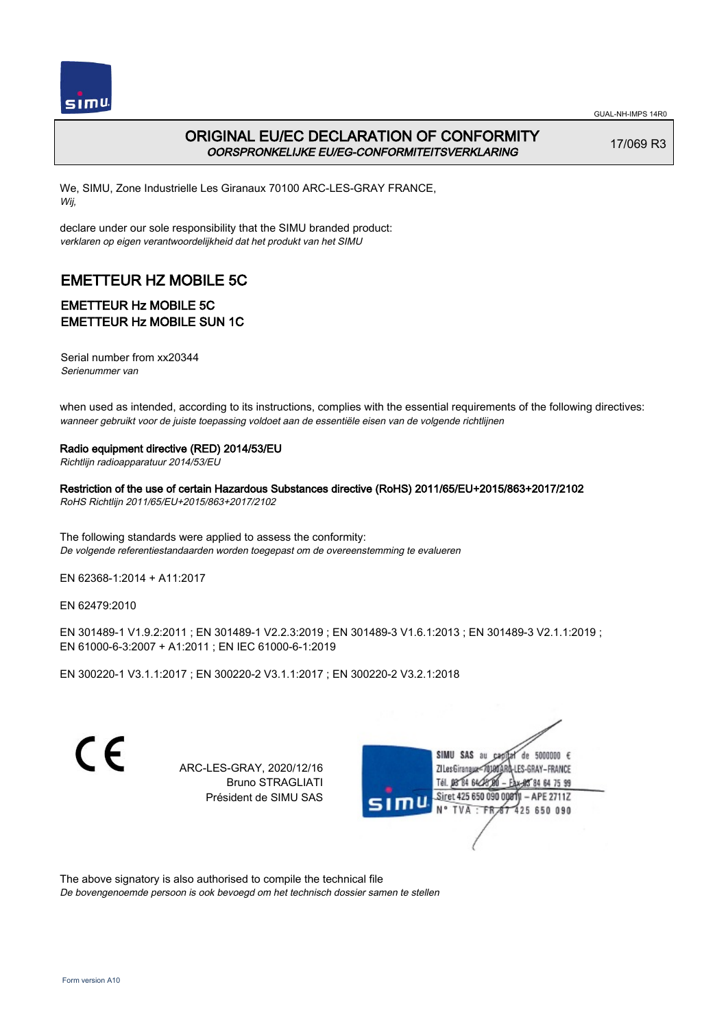

# ORIGINAL EU/EC DECLARATION OF CONFORMITY OORSPRONKELIJKE EU/EG-CONFORMITEITSVERKLARING

17/069 R3

We, SIMU, Zone Industrielle Les Giranaux 70100 ARC-LES-GRAY FRANCE, Wij,

declare under our sole responsibility that the SIMU branded product: verklaren op eigen verantwoordelijkheid dat het produkt van het SIMU

# EMETTEUR HZ MOBILE 5C

# EMETTEUR Hz MOBILE 5C EMETTEUR Hz MOBILE SUN 1C

Serial number from xx20344 Serienummer van

when used as intended, according to its instructions, complies with the essential requirements of the following directives: wanneer gebruikt voor de juiste toepassing voldoet aan de essentiële eisen van de volgende richtlijnen

#### Radio equipment directive (RED) 2014/53/EU

Richtlijn radioapparatuur 2014/53/EU

Restriction of the use of certain Hazardous Substances directive (RoHS) 2011/65/EU+2015/863+2017/2102 RoHS Richtlijn 2011/65/EU+2015/863+2017/2102

The following standards were applied to assess the conformity: De volgende referentiestandaarden worden toegepast om de overeenstemming te evalueren

EN 62368‑1:2014 + A11:2017

EN 62479:2010

EN 301489‑1 V1.9.2:2011 ; EN 301489‑1 V2.2.3:2019 ; EN 301489‑3 V1.6.1:2013 ; EN 301489‑3 V2.1.1:2019 ; EN 61000‑6‑3:2007 + A1:2011 ; EN IEC 61000‑6‑1:2019

EN 300220‑1 V3.1.1:2017 ; EN 300220‑2 V3.1.1:2017 ; EN 300220‑2 V3.2.1:2018

 $\epsilon$ 

ARC-LES-GRAY, 2020/12/16 Bruno STRAGLIATI Président de SIMU SAS



The above signatory is also authorised to compile the technical file

De bovengenoemde persoon is ook bevoegd om het technisch dossier samen te stellen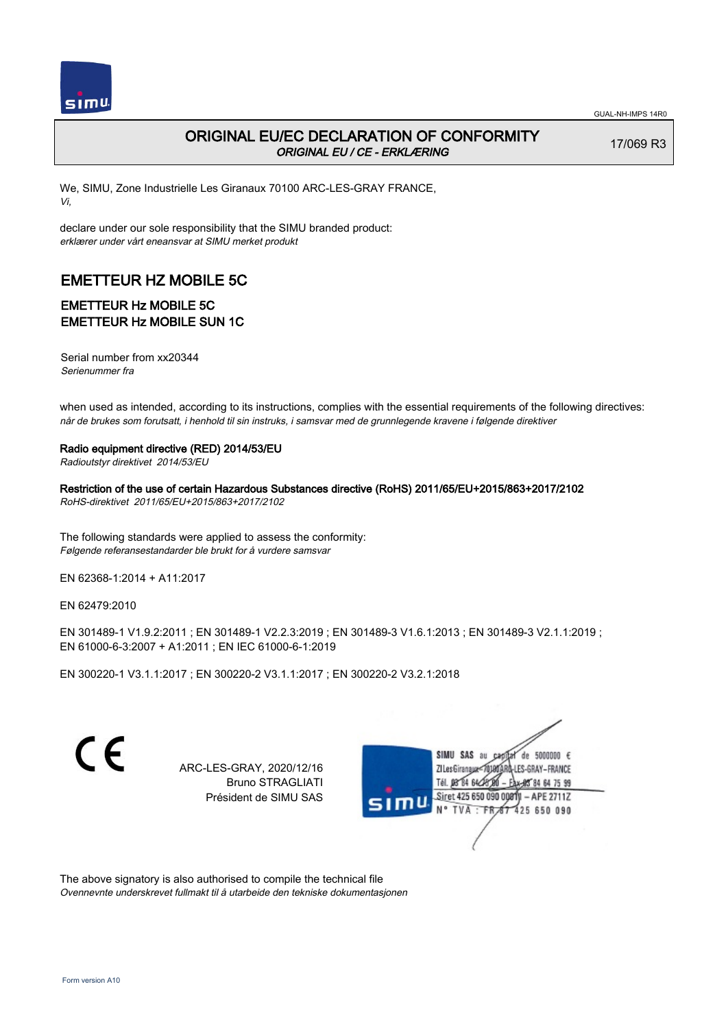

17/069 R3

# ORIGINAL EU/EC DECLARATION OF CONFORMITY ORIGINAL EU / CE - ERKLÆRING

We, SIMU, Zone Industrielle Les Giranaux 70100 ARC-LES-GRAY FRANCE, Vi,

declare under our sole responsibility that the SIMU branded product: erklærer under vårt eneansvar at SIMU merket produkt

# EMETTEUR HZ MOBILE 5C

# EMETTEUR Hz MOBILE 5C EMETTEUR Hz MOBILE SUN 1C

Serial number from xx20344 Serienummer fra

when used as intended, according to its instructions, complies with the essential requirements of the following directives: når de brukes som forutsatt, i henhold til sin instruks, i samsvar med de grunnlegende kravene i følgende direktiver

Radio equipment directive (RED) 2014/53/EU

Radioutstyr direktivet 2014/53/EU

Restriction of the use of certain Hazardous Substances directive (RoHS) 2011/65/EU+2015/863+2017/2102 RoHS-direktivet 2011/65/EU+2015/863+2017/2102

The following standards were applied to assess the conformity: Følgende referansestandarder ble brukt for å vurdere samsvar

EN 62368‑1:2014 + A11:2017

EN 62479:2010

EN 301489‑1 V1.9.2:2011 ; EN 301489‑1 V2.2.3:2019 ; EN 301489‑3 V1.6.1:2013 ; EN 301489‑3 V2.1.1:2019 ; EN 61000‑6‑3:2007 + A1:2011 ; EN IEC 61000‑6‑1:2019

EN 300220‑1 V3.1.1:2017 ; EN 300220‑2 V3.1.1:2017 ; EN 300220‑2 V3.2.1:2018

 $\epsilon$ 

ARC-LES-GRAY, 2020/12/16 Bruno STRAGLIATI Président de SIMU SAS



The above signatory is also authorised to compile the technical file Ovennevnte underskrevet fullmakt til å utarbeide den tekniske dokumentasjonen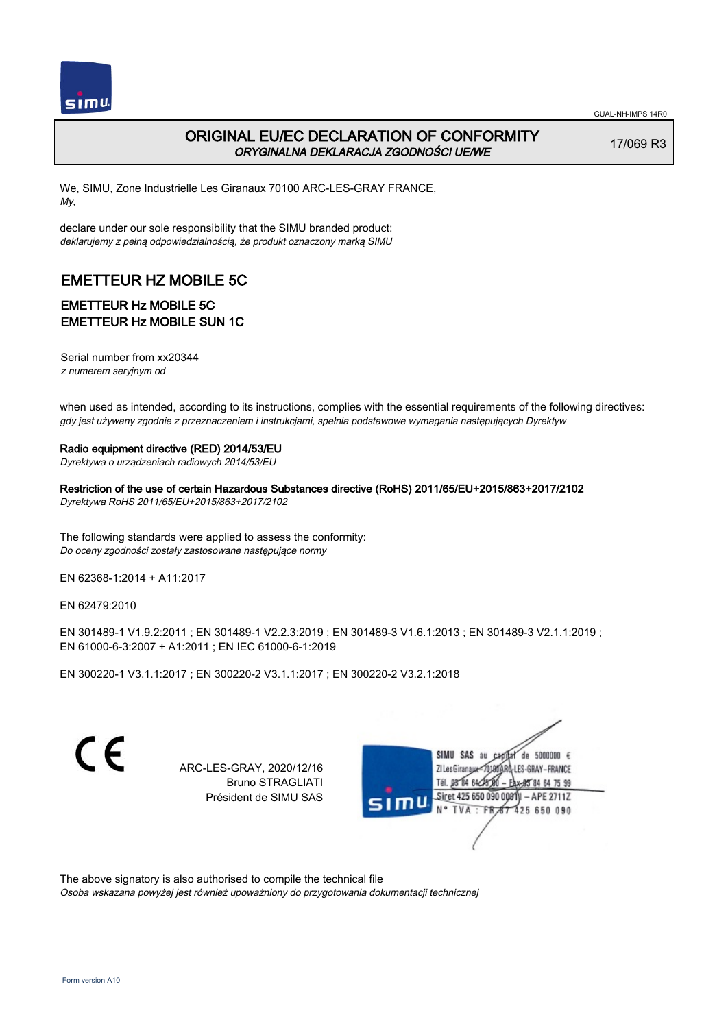

# ORIGINAL EU/EC DECLARATION OF CONFORMITY ORYGINALNA DEKLARACJA ZGODNOŚCI UE/WE

17/069 R3

We, SIMU, Zone Industrielle Les Giranaux 70100 ARC-LES-GRAY FRANCE, My,

declare under our sole responsibility that the SIMU branded product: deklarujemy z pełną odpowiedzialnością, że produkt oznaczony marką SIMU

# EMETTEUR HZ MOBILE 5C

# EMETTEUR Hz MOBILE 5C EMETTEUR Hz MOBILE SUN 1C

Serial number from xx20344 z numerem seryjnym od

when used as intended, according to its instructions, complies with the essential requirements of the following directives: gdy jest używany zgodnie z przeznaczeniem i instrukcjami, spełnia podstawowe wymagania następujących Dyrektyw

#### Radio equipment directive (RED) 2014/53/EU

Dyrektywa o urządzeniach radiowych 2014/53/EU

Restriction of the use of certain Hazardous Substances directive (RoHS) 2011/65/EU+2015/863+2017/2102 Dyrektywa RoHS 2011/65/EU+2015/863+2017/2102

The following standards were applied to assess the conformity: Do oceny zgodności zostały zastosowane następujące normy

EN 62368‑1:2014 + A11:2017

EN 62479:2010

EN 301489‑1 V1.9.2:2011 ; EN 301489‑1 V2.2.3:2019 ; EN 301489‑3 V1.6.1:2013 ; EN 301489‑3 V2.1.1:2019 ; EN 61000‑6‑3:2007 + A1:2011 ; EN IEC 61000‑6‑1:2019

EN 300220‑1 V3.1.1:2017 ; EN 300220‑2 V3.1.1:2017 ; EN 300220‑2 V3.2.1:2018

 $\epsilon$ 

ARC-LES-GRAY, 2020/12/16 Bruno STRAGLIATI Président de SIMU SAS



The above signatory is also authorised to compile the technical file

Osoba wskazana powyżej jest również upoważniony do przygotowania dokumentacji technicznej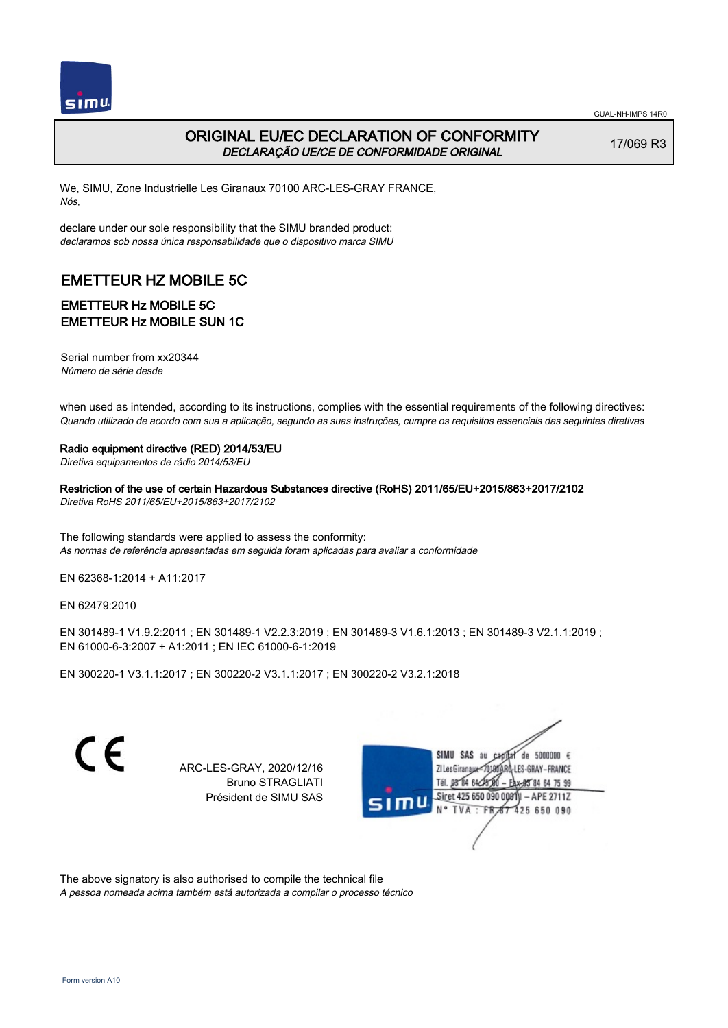

# ORIGINAL EU/EC DECLARATION OF CONFORMITY DECLARAÇÃO UE/CE DE CONFORMIDADE ORIGINAL

17/069 R3

We, SIMU, Zone Industrielle Les Giranaux 70100 ARC-LES-GRAY FRANCE, Nós,

declare under our sole responsibility that the SIMU branded product: declaramos sob nossa única responsabilidade que o dispositivo marca SIMU

# EMETTEUR HZ MOBILE 5C

### EMETTEUR Hz MOBILE 5C EMETTEUR Hz MOBILE SUN 1C

Serial number from xx20344 Número de série desde

when used as intended, according to its instructions, complies with the essential requirements of the following directives: Quando utilizado de acordo com sua a aplicação, segundo as suas instruções, cumpre os requisitos essenciais das seguintes diretivas

#### Radio equipment directive (RED) 2014/53/EU

Diretiva equipamentos de rádio 2014/53/EU

Restriction of the use of certain Hazardous Substances directive (RoHS) 2011/65/EU+2015/863+2017/2102 Diretiva RoHS 2011/65/EU+2015/863+2017/2102

The following standards were applied to assess the conformity: As normas de referência apresentadas em seguida foram aplicadas para avaliar a conformidade

EN 62368‑1:2014 + A11:2017

EN 62479:2010

EN 301489‑1 V1.9.2:2011 ; EN 301489‑1 V2.2.3:2019 ; EN 301489‑3 V1.6.1:2013 ; EN 301489‑3 V2.1.1:2019 ; EN 61000‑6‑3:2007 + A1:2011 ; EN IEC 61000‑6‑1:2019

EN 300220‑1 V3.1.1:2017 ; EN 300220‑2 V3.1.1:2017 ; EN 300220‑2 V3.2.1:2018

 $\epsilon$ 

ARC-LES-GRAY, 2020/12/16 Bruno STRAGLIATI Président de SIMU SAS



The above signatory is also authorised to compile the technical file

A pessoa nomeada acima também está autorizada a compilar o processo técnico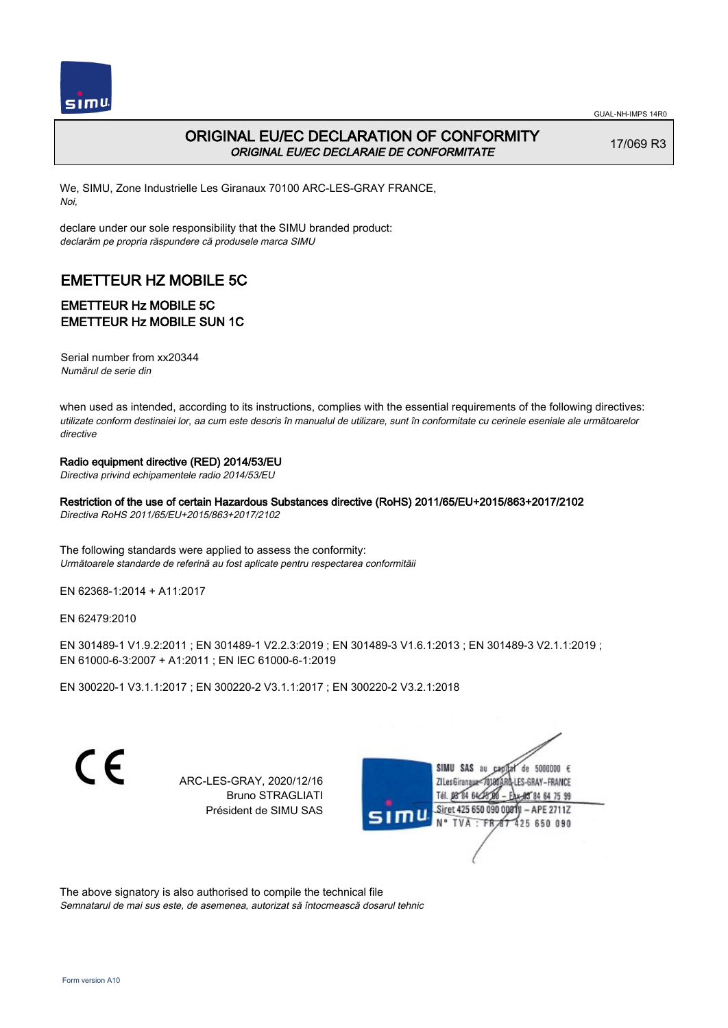

# ORIGINAL EU/EC DECLARATION OF CONFORMITY ORIGINAL EU/EC DECLARAIE DE CONFORMITATE

17/069 R3

We, SIMU, Zone Industrielle Les Giranaux 70100 ARC-LES-GRAY FRANCE, Noi,

declare under our sole responsibility that the SIMU branded product: declarăm pe propria răspundere că produsele marca SIMU

# EMETTEUR HZ MOBILE 5C

### EMETTEUR Hz MOBILE 5C EMETTEUR Hz MOBILE SUN 1C

Serial number from xx20344 Numărul de serie din

when used as intended, according to its instructions, complies with the essential requirements of the following directives: utilizate conform destinaiei lor, aa cum este descris în manualul de utilizare, sunt în conformitate cu cerinele eseniale ale următoarelor directive

#### Radio equipment directive (RED) 2014/53/EU

Directiva privind echipamentele radio 2014/53/EU

Restriction of the use of certain Hazardous Substances directive (RoHS) 2011/65/EU+2015/863+2017/2102

Directiva RoHS 2011/65/EU+2015/863+2017/2102

The following standards were applied to assess the conformity: Următoarele standarde de referină au fost aplicate pentru respectarea conformităii

EN 62368‑1:2014 + A11:2017

EN 62479:2010

EN 301489‑1 V1.9.2:2011 ; EN 301489‑1 V2.2.3:2019 ; EN 301489‑3 V1.6.1:2013 ; EN 301489‑3 V2.1.1:2019 ; EN 61000‑6‑3:2007 + A1:2011 ; EN IEC 61000‑6‑1:2019

EN 300220‑1 V3.1.1:2017 ; EN 300220‑2 V3.1.1:2017 ; EN 300220‑2 V3.2.1:2018

 $\epsilon$ 

ARC-LES-GRAY, 2020/12/16 Bruno STRAGLIATI Président de SIMU SAS

SIMII SAS au de 5000000  $\epsilon$ ZI Les Giranaux<sup>e</sup> LES-GRAY-FRANCE **DR R4 64/2** 64 75 99 Siret 425 650 090 0081  $-$  APE 2711Z TVA : FRAT 425 650 090

The above signatory is also authorised to compile the technical file Semnatarul de mai sus este, de asemenea, autorizat să întocmească dosarul tehnic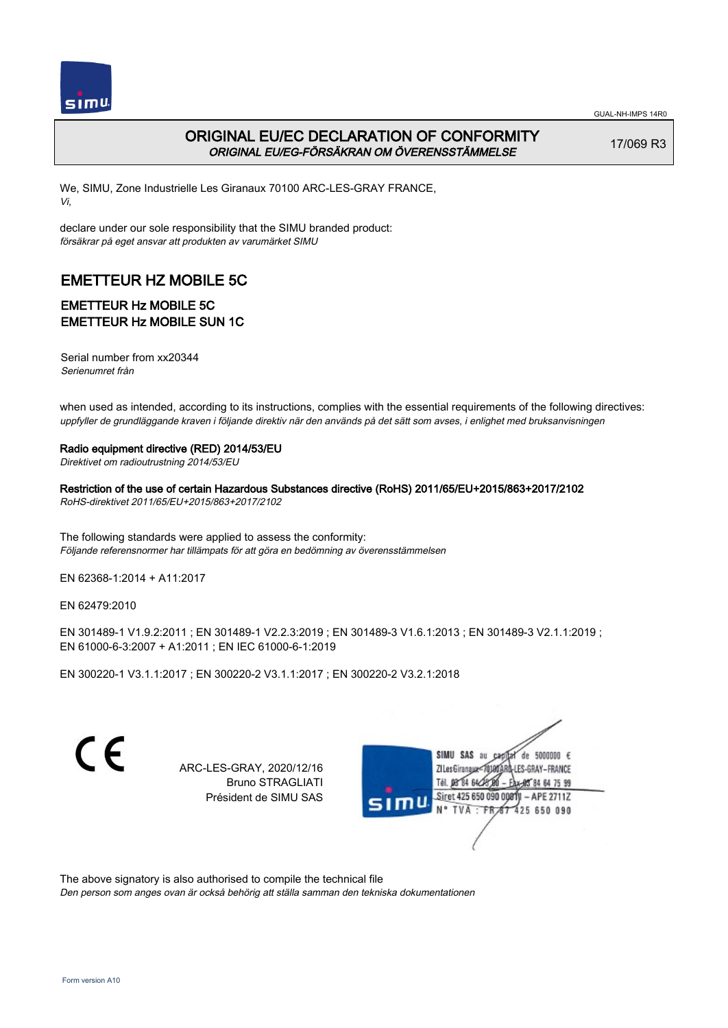

# ORIGINAL EU/EC DECLARATION OF CONFORMITY ORIGINAL EU/EG-FÖRSÄKRAN OM ÖVERENSSTÄMMELSE

17/069 R3

We, SIMU, Zone Industrielle Les Giranaux 70100 ARC-LES-GRAY FRANCE, Vi,

declare under our sole responsibility that the SIMU branded product: försäkrar på eget ansvar att produkten av varumärket SIMU

# EMETTEUR HZ MOBILE 5C

# EMETTEUR Hz MOBILE 5C EMETTEUR Hz MOBILE SUN 1C

Serial number from xx20344 Serienumret från

when used as intended, according to its instructions, complies with the essential requirements of the following directives: uppfyller de grundläggande kraven i följande direktiv när den används på det sätt som avses, i enlighet med bruksanvisningen

#### Radio equipment directive (RED) 2014/53/EU

Direktivet om radioutrustning 2014/53/EU

Restriction of the use of certain Hazardous Substances directive (RoHS) 2011/65/EU+2015/863+2017/2102 RoHS-direktivet 2011/65/EU+2015/863+2017/2102

The following standards were applied to assess the conformity: Följande referensnormer har tillämpats för att göra en bedömning av överensstämmelsen

EN 62368‑1:2014 + A11:2017

EN 62479:2010

EN 301489‑1 V1.9.2:2011 ; EN 301489‑1 V2.2.3:2019 ; EN 301489‑3 V1.6.1:2013 ; EN 301489‑3 V2.1.1:2019 ; EN 61000‑6‑3:2007 + A1:2011 ; EN IEC 61000‑6‑1:2019

EN 300220‑1 V3.1.1:2017 ; EN 300220‑2 V3.1.1:2017 ; EN 300220‑2 V3.2.1:2018

 $\epsilon$ 

ARC-LES-GRAY, 2020/12/16 Bruno STRAGLIATI Président de SIMU SAS

de 5000000 € SIMII SAS au ZI Les Giranaux</0180 LES-GRAY-FRANCE Tél. 08 84 64 28 64 75 99 Siret 425 650 090 008TV - APE 2711Z TVA: FR 67 425 650 090

The above signatory is also authorised to compile the technical file

Den person som anges ovan är också behörig att ställa samman den tekniska dokumentationen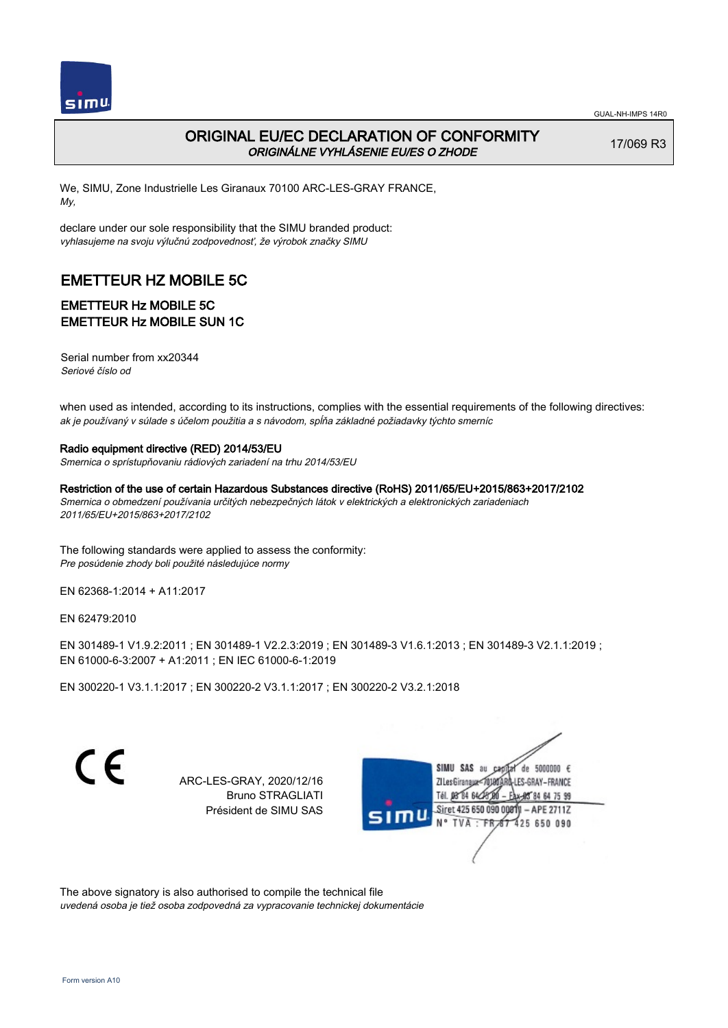

17/069 R3

# ORIGINAL EU/EC DECLARATION OF CONFORMITY ORIGINÁLNE VYHLÁSENIE EU/ES O ZHODE

We, SIMU, Zone Industrielle Les Giranaux 70100 ARC-LES-GRAY FRANCE, My,

declare under our sole responsibility that the SIMU branded product: vyhlasujeme na svoju výlučnú zodpovednosť, že výrobok značky SIMU

# EMETTEUR HZ MOBILE 5C

### EMETTEUR Hz MOBILE 5C EMETTEUR Hz MOBILE SUN 1C

Serial number from xx20344 Seriové číslo od

when used as intended, according to its instructions, complies with the essential requirements of the following directives: ak je používaný v súlade s účelom použitia a s návodom, spĺňa základné požiadavky týchto smerníc

#### Radio equipment directive (RED) 2014/53/EU

Smernica o sprístupňovaniu rádiových zariadení na trhu 2014/53/EU

Restriction of the use of certain Hazardous Substances directive (RoHS) 2011/65/EU+2015/863+2017/2102

Smernica o obmedzení používania určitých nebezpečných látok v elektrických a elektronických zariadeniach 2011/65/EU+2015/863+2017/2102

The following standards were applied to assess the conformity: Pre posúdenie zhody boli použité následujúce normy

EN 62368‑1:2014 + A11:2017

EN 62479:2010

EN 301489‑1 V1.9.2:2011 ; EN 301489‑1 V2.2.3:2019 ; EN 301489‑3 V1.6.1:2013 ; EN 301489‑3 V2.1.1:2019 ; EN 61000‑6‑3:2007 + A1:2011 ; EN IEC 61000‑6‑1:2019

EN 300220‑1 V3.1.1:2017 ; EN 300220‑2 V3.1.1:2017 ; EN 300220‑2 V3.2.1:2018

C E

ARC-LES-GRAY, 2020/12/16 Bruno STRAGLIATI Président de SIMU SAS

SIMU SAS au de 5000000  $\epsilon$ LES-GRAY-FRANCE ZI Les Giranaux</r01 DB 84 64 CH 64 75 99 Siret 425 650 090 0081  $-$  APE 2711Z N° TVA FRAT 425 650 090

The above signatory is also authorised to compile the technical file uvedená osoba je tiež osoba zodpovedná za vypracovanie technickej dokumentácie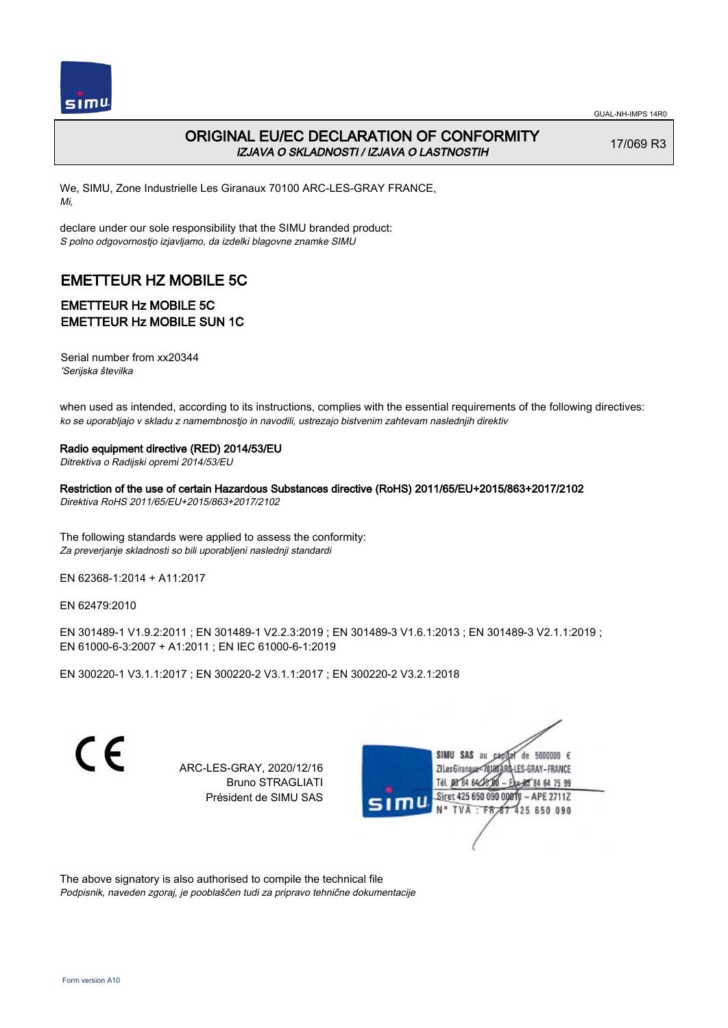

# ORIGINAL EU/EC DECLARATION OF CONFORMITY IZJAVA O SKLADNOSTI / IZJAVA O LASTNOSTIH

17/069 R3

We, SIMU, Zone Industrielle Les Giranaux 70100 ARC-LES-GRAY FRANCE, Mi,

declare under our sole responsibility that the SIMU branded product: S polno odgovornostjo izjavljamo, da izdelki blagovne znamke SIMU

# EMETTEUR HZ MOBILE 5C

# EMETTEUR Hz MOBILE 5C EMETTEUR Hz MOBILE SUN 1C

Serial number from xx20344 'Serijska številka

when used as intended, according to its instructions, complies with the essential requirements of the following directives: ko se uporabljajo v skladu z namembnostjo in navodili, ustrezajo bistvenim zahtevam naslednjih direktiv

#### Radio equipment directive (RED) 2014/53/EU

Ditrektiva o Radijski opremi 2014/53/EU

Restriction of the use of certain Hazardous Substances directive (RoHS) 2011/65/EU+2015/863+2017/2102 Direktiva RoHS 2011/65/EU+2015/863+2017/2102

The following standards were applied to assess the conformity: Za preverjanje skladnosti so bili uporabljeni naslednji standardi

EN 62368‑1:2014 + A11:2017

EN 62479:2010

EN 301489‑1 V1.9.2:2011 ; EN 301489‑1 V2.2.3:2019 ; EN 301489‑3 V1.6.1:2013 ; EN 301489‑3 V2.1.1:2019 ; EN 61000‑6‑3:2007 + A1:2011 ; EN IEC 61000‑6‑1:2019

EN 300220‑1 V3.1.1:2017 ; EN 300220‑2 V3.1.1:2017 ; EN 300220‑2 V3.2.1:2018

 $\epsilon$ 

ARC-LES-GRAY, 2020/12/16 Bruno STRAGLIATI Président de SIMU SAS



The above signatory is also authorised to compile the technical file Podpisnik, naveden zgoraj, je pooblaščen tudi za pripravo tehnične dokumentacije